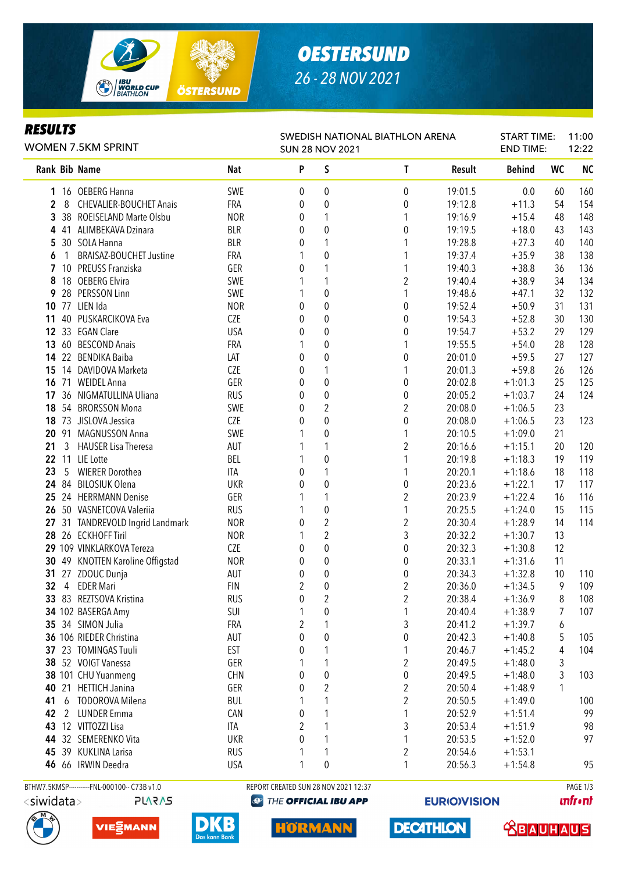

### *OESTERSUND 26 - 28 NOV 2021*

### *RESULTS*

| SWEDISH NATIONAL BIATHLON ARENA |
|---------------------------------|

| <b>WOMEN 7.5KM SPRINT</b> |                                              |            |   | <b>SUN 28 NOV 2021</b>               |                         |         | <b>END TIME:</b> |    | 12:22     |  |
|---------------------------|----------------------------------------------|------------|---|--------------------------------------|-------------------------|---------|------------------|----|-----------|--|
| Rank Bib Name             |                                              | Nat        | P | S                                    | T                       | Result  | <b>Behind</b>    | WC | <b>NC</b> |  |
|                           | 1 16 OEBERG Hanna                            | SWE        | 0 | 0                                    | $\pmb{0}$               | 19:01.5 | 0.0              | 60 | 160       |  |
| 2<br>8                    | <b>CHEVALIER-BOUCHET Anais</b>               | <b>FRA</b> | 0 | $\pmb{0}$                            | 0                       | 19:12.8 | $+11.3$          | 54 | 154       |  |
| 3                         | 38 ROEISELAND Marte Olsbu                    | <b>NOR</b> | 0 | 1                                    | 1                       | 19:16.9 | $+15.4$          | 48 | 148       |  |
| 4                         | 41 ALIMBEKAVA Dzinara                        | <b>BLR</b> | 0 | $\pmb{0}$                            | 0                       | 19:19.5 | $+18.0$          | 43 | 143       |  |
| 5                         | 30 SOLA Hanna                                | <b>BLR</b> | 0 | 1                                    |                         | 19:28.8 | $+27.3$          | 40 | 140       |  |
| 1<br>6                    | <b>BRAISAZ-BOUCHET Justine</b>               | FRA        |   | $\pmb{0}$                            | 1                       | 19:37.4 | $+35.9$          | 38 | 138       |  |
|                           | 10 PREUSS Franziska                          | GER        | 0 | 1                                    | 1                       | 19:40.3 | $+38.8$          | 36 | 136       |  |
| 8                         | 18 OEBERG Elvira                             | SWE        |   | 1                                    | $\overline{2}$          | 19:40.4 | $+38.9$          | 34 | 134       |  |
| 9                         | 28 PERSSON Linn                              | SWE        |   | $\pmb{0}$                            | 1                       | 19:48.6 | $+47.1$          | 32 | 132       |  |
| 10                        | 77 LIEN Ida                                  | <b>NOR</b> | 0 | $\pmb{0}$                            | $\boldsymbol{0}$        | 19:52.4 | $+50.9$          | 31 | 131       |  |
| 11                        | 40 PUSKARCIKOVA Eva                          | CZE        | 0 | $\pmb{0}$                            | 0                       | 19:54.3 | $+52.8$          | 30 | 130       |  |
|                           | 12 33 EGAN Clare                             | <b>USA</b> | 0 | $\pmb{0}$                            | 0                       | 19:54.7 | $+53.2$          | 29 | 129       |  |
|                           | 13 60 BESCOND Anais                          | <b>FRA</b> | 1 | $\pmb{0}$                            | 1                       | 19:55.5 | $+54.0$          | 28 | 128       |  |
|                           | 14 22 BENDIKA Baiba                          | LAT        | 0 | $\pmb{0}$                            | 0                       | 20:01.0 | $+59.5$          | 27 | 127       |  |
| 15                        | 14 DAVIDOVA Marketa                          | CZE        | 0 | 1                                    | 1                       | 20:01.3 | $+59.8$          | 26 | 126       |  |
|                           | 16 71 WEIDEL Anna                            | GER        | 0 | $\pmb{0}$                            | $\boldsymbol{0}$        | 20:02.8 | $+1:01.3$        | 25 | 125       |  |
| 17                        | 36 NIGMATULLINA Uliana                       | <b>RUS</b> | 0 | $\pmb{0}$                            | $\boldsymbol{0}$        | 20:05.2 | $+1:03.7$        | 24 | 124       |  |
| 18                        | 54 BRORSSON Mona                             | SWE        | 0 | $\overline{2}$                       | $\overline{\mathbf{c}}$ | 20:08.0 | $+1:06.5$        | 23 |           |  |
| 18                        | 73 JISLOVA Jessica                           | CZE        | 0 | $\overline{0}$                       | 0                       | 20:08.0 | $+1:06.5$        | 23 | 123       |  |
|                           | 20 91 MAGNUSSON Anna                         | SWE        | 1 | 0                                    | 1                       | 20:10.5 | $+1:09.0$        | 21 |           |  |
| $\mathbf{3}$<br>21        | <b>HAUSER Lisa Theresa</b>                   | AUT        |   | 1                                    | $\overline{\mathbf{c}}$ | 20:16.6 | $+1:15.1$        | 20 | 120       |  |
|                           | 22 11 LIE Lotte                              | BEL        | 1 | $\pmb{0}$                            | 1                       | 20:19.8 | $+1:18.3$        | 19 | 119       |  |
| 23<br>5                   | <b>WIERER Dorothea</b>                       | <b>ITA</b> | 0 | 1                                    | 1                       | 20:20.1 | $+1:18.6$        | 18 | 118       |  |
|                           | 24 84 BILOSIUK Olena                         | <b>UKR</b> | 0 | $\pmb{0}$                            | $\pmb{0}$               | 20:23.6 | $+1:22.1$        | 17 | 117       |  |
|                           | 25 24 HERRMANN Denise                        | GER        |   | 1                                    | $\overline{2}$          | 20:23.9 | $+1:22.4$        | 16 | 116       |  |
|                           | 26 50 VASNETCOVA Valeriia                    | <b>RUS</b> |   | $\pmb{0}$                            | 1                       | 20:25.5 | $+1:24.0$        | 15 | 115       |  |
|                           | 27 31 TANDREVOLD Ingrid Landmark             | <b>NOR</b> | 0 | $\overline{c}$                       | $\overline{c}$          | 20:30.4 | $+1:28.9$        | 14 | 114       |  |
|                           | 28 26 ECKHOFF Tiril                          | <b>NOR</b> |   | $\overline{c}$                       | 3                       | 20:32.2 | $+1:30.7$        | 13 |           |  |
|                           | 29 109 VINKLARKOVA Tereza                    | CZE        | 0 | $\mathbf 0$                          | 0                       | 20:32.3 | $+1:30.8$        | 12 |           |  |
|                           | 30 49 KNOTTEN Karoline Offigstad             | <b>NOR</b> | 0 | $\boldsymbol{0}$                     | 0                       | 20:33.1 | $+1:31.6$        | 11 |           |  |
|                           | 31 27 ZDOUC Dunja                            | AUT        | 0 | 0                                    | 0                       | 20:34.3 | $+1:32.8$        | 10 | 110       |  |
| 32<br>4                   | <b>EDER Mari</b>                             | <b>FIN</b> | 2 | $\pmb{0}$                            | $\boldsymbol{2}$        | 20:36.0 | $+1:34.5$        | 9  | 109       |  |
|                           | 33 83 REZTSOVA Kristina                      | <b>RUS</b> | 0 | $\overline{2}$                       | $\overline{2}$          | 20:38.4 | $+1:36.9$        | 8  | 108       |  |
|                           | 34 102 BASERGA Amy                           | SUI        |   | 0                                    |                         | 20:40.4 | $+1:38.9$        | 7  | 107       |  |
|                           | 35 34 SIMON Julia                            | FRA        | 2 | 1                                    | 3                       | 20:41.2 | $+1:39.7$        | 6  |           |  |
|                           | 36 106 RIEDER Christina                      | AUT        | 0 | 0                                    | 0                       | 20:42.3 | $+1:40.8$        | 5  | 105       |  |
|                           | 37 23 TOMINGAS Tuuli                         | <b>EST</b> | 0 | 1                                    | 1                       | 20:46.7 | $+1:45.2$        | 4  | 104       |  |
|                           | 38 52 VOIGT Vanessa                          | GER        |   | 1                                    | 2                       | 20:49.5 | $+1:48.0$        | 3  |           |  |
|                           | 38 101 CHU Yuanmeng                          | <b>CHN</b> | 0 | 0                                    | 0                       | 20:49.5 | $+1:48.0$        | 3  | 103       |  |
| 40                        | 21 HETTICH Janina                            | GER        | 0 | $\overline{\mathbf{c}}$              | 2                       | 20:50.4 | $+1:48.9$        | 1  |           |  |
| 41<br>6                   | TODOROVA Milena                              | <b>BUL</b> | 1 | 1                                    | 2                       | 20:50.5 | $+1:49.0$        |    | 100       |  |
| 42                        | 2 LUNDER Emma                                | CAN        | 0 | 1                                    | 1                       | 20:52.9 | $+1:51.4$        |    | 99        |  |
| 43                        | 12 VITTOZZI Lisa                             | ITA        | 2 | 1                                    | 3                       | 20:53.4 | $+1:51.9$        |    | 98        |  |
| 44                        | 32 SEMERENKO Vita                            | <b>UKR</b> | 0 | 1                                    | 1                       | 20:53.5 | $+1:52.0$        |    | 97        |  |
|                           | 45 39 KUKLINA Larisa                         | <b>RUS</b> |   | 1                                    | $\boldsymbol{2}$        | 20:54.6 | $+1:53.1$        |    |           |  |
|                           | 46 66 IRWIN Deedra                           | <b>USA</b> | 1 | $\pmb{0}$                            | 1                       | 20:56.3 | $+1:54.8$        |    | 95        |  |
|                           | BTHW7.5KMSP-----------FNL-000100-- C73B v1.0 |            |   | REPORT CREATED SUN 28 NOV 2021 12:37 |                         |         |                  |    | PAGE 1/3  |  |

**PLARAS** 







**@ THE OFFICIAL IBU APP** 

HÖRMA

**EURIO)VISION** 

**DECATHLON** 

**unfront** 

 **<u>CBAUHAUS</u>** 

START TIME: 11:00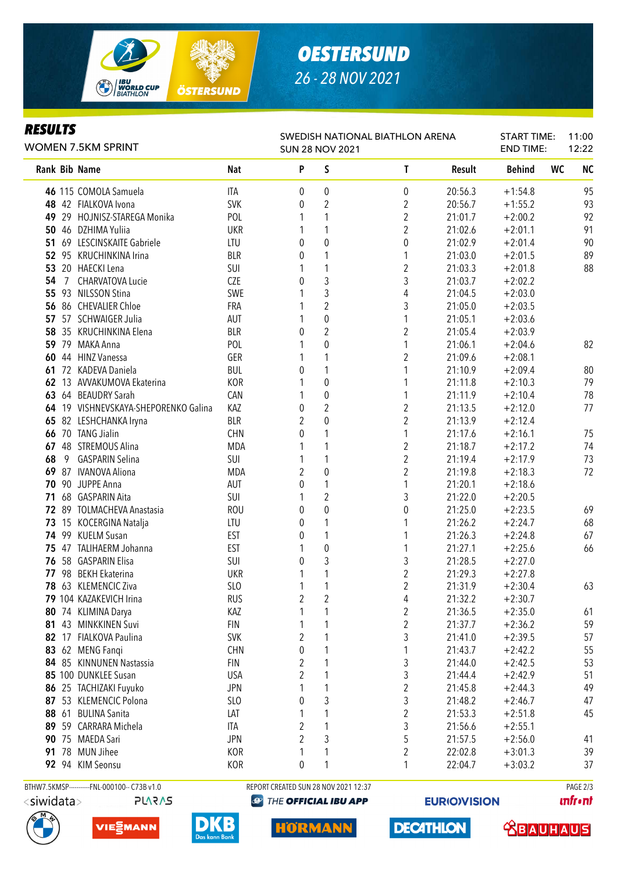

# *OESTERSUND 26 - 28 NOV 2021*

SWEDISH NATIONAL BIATHLON ARENA

START TIME:

11:00  $12.22$ 

### *RESULTS*

| <b>WOMEN 7.5KM SPRINT</b> |                 |                                      | <b>SUN 28 NOV 2021</b> | <b>END TIME:</b> |                  | 12:22          |         |               |           |                |
|---------------------------|-----------------|--------------------------------------|------------------------|------------------|------------------|----------------|---------|---------------|-----------|----------------|
|                           |                 | <b>Rank Bib Name</b>                 | <b>Nat</b>             | P                | S                | T              | Result  | <b>Behind</b> | <b>WC</b> | N <sub>C</sub> |
|                           |                 | 46 115 COMOLA Samuela                | <b>ITA</b>             | 0                | $\boldsymbol{0}$ | 0              | 20:56.3 | $+1:54.8$     |           | 95             |
|                           |                 | 48 42 FIALKOVA Ivona                 | <b>SVK</b>             | 0                | $\overline{2}$   | $\overline{c}$ | 20:56.7 | $+1:55.2$     |           | 93             |
|                           |                 | 49 29 HOJNISZ-STAREGA Monika         | POL                    |                  |                  | $\overline{2}$ | 21:01.7 | $+2:00.2$     |           | 92             |
|                           |                 | 50 46 DZHIMA Yuliia                  | <b>UKR</b>             |                  |                  | 2              | 21:02.6 | $+2:01.1$     |           | 91             |
|                           |                 | 51 69 LESCINSKAITE Gabriele          | LTU                    | 0                | $\mathbf 0$      | 0              | 21:02.9 | $+2:01.4$     |           | 90             |
|                           |                 | 52 95 KRUCHINKINA Irina              | <b>BLR</b>             | 0                |                  |                | 21:03.0 | $+2:01.5$     |           | 89             |
| 53                        |                 | 20 HAECKI Lena                       | SUI                    |                  |                  | $\overline{2}$ | 21:03.3 | $+2:01.8$     |           | 88             |
| 54                        | $7\overline{ }$ | CHARVATOVA Lucie                     | <b>CZE</b>             | 0                | 3                | 3              | 21:03.7 | $+2:02.2$     |           |                |
| 55                        |                 | 93 NILSSON Stina                     | SWE                    |                  | 3                | 4              | 21:04.5 | $+2:03.0$     |           |                |
|                           |                 | 56 86 CHEVALIER Chloe                | FRA                    |                  | $\overline{c}$   | 3              | 21:05.0 | $+2:03.5$     |           |                |
| 57                        |                 | 57 SCHWAIGER Julia                   | AUT                    |                  | $\pmb{0}$        | 1              | 21:05.1 | $+2:03.6$     |           |                |
| 58                        |                 | 35 KRUCHINKINA Elena                 | <b>BLR</b>             | 0                | $\overline{c}$   | $\overline{c}$ | 21:05.4 | $+2:03.9$     |           |                |
| 59                        |                 | 79 MAKA Anna                         | POL                    |                  | $\pmb{0}$        | 1              | 21:06.1 | $+2:04.6$     |           | 82             |
|                           |                 | 60 44 HINZ Vanessa                   | GER                    |                  |                  | $\overline{2}$ | 21:09.6 | $+2:08.1$     |           |                |
| 61                        |                 | 72 KADEVA Daniela                    | <b>BUL</b>             | 0                |                  |                | 21:10.9 | $+2:09.4$     |           | 80             |
|                           |                 | 62 13 AVVAKUMOVA Ekaterina           | <b>KOR</b>             |                  | $\boldsymbol{0}$ | 1              | 21:11.8 | $+2:10.3$     |           | 79             |
|                           |                 | 63 64 BEAUDRY Sarah                  | CAN                    |                  | $\pmb{0}$        | 1              | 21:11.9 | $+2:10.4$     |           | 78             |
|                           |                 | 64 19 VISHNEVSKAYA-SHEPORENKO Galina | KAZ                    | 0                | $\overline{2}$   | $\overline{2}$ | 21:13.5 | $+2:12.0$     |           | 77             |
| 65                        |                 | 82 LESHCHANKA Iryna                  | <b>BLR</b>             | 2                | $\mathbf 0$      | $\overline{2}$ | 21:13.9 | $+2:12.4$     |           |                |
|                           |                 | 66 70 TANG Jialin                    | <b>CHN</b>             | 0                | 1                | $\mathbf{1}$   | 21:17.6 | $+2:16.1$     |           | 75             |
|                           |                 | 67 48 STREMOUS Alina                 | <b>MDA</b>             |                  | 1                | $\overline{2}$ | 21:18.7 | $+2:17.2$     |           | 74             |
| 68                        | 9               | <b>GASPARIN Selina</b>               | SUI                    |                  | 1                | $\overline{2}$ | 21:19.4 | $+2:17.9$     |           | 73             |
| 69                        |                 | 87 IVANOVA Aliona                    | MDA                    | 2                | $\mathbf 0$      | $\overline{2}$ | 21:19.8 | $+2:18.3$     |           | 72             |
|                           |                 | 70 90 JUPPE Anna                     | AUT                    | 0                | 1                | 1              | 21:20.1 | $+2:18.6$     |           |                |
|                           |                 | 71 68 GASPARIN Aita                  | SUI                    |                  | $\overline{2}$   | 3              | 21:22.0 | $+2:20.5$     |           |                |
|                           |                 | 72 89 TOLMACHEVA Anastasia           | <b>ROU</b>             | 0                | $\mathbf 0$      | 0              | 21:25.0 | $+2:23.5$     |           | 69             |
|                           |                 | 73 15 KOCERGINA Natalja              | LTU                    | 0                |                  |                | 21:26.2 | $+2:24.7$     |           | 68             |
|                           |                 | 74 99 KUELM Susan                    | <b>EST</b>             | 0                |                  |                | 21:26.3 | $+2:24.8$     |           | 67             |
|                           |                 | 75 47 TALIHAERM Johanna              | <b>EST</b>             | 1                | $\pmb{0}$        | 1              | 21:27.1 | $+2:25.6$     |           | 66             |
|                           |                 | 76 58 GASPARIN Elisa                 | SUI                    | 0                | 3                | 3              | 21:28.5 | $+2:27.0$     |           |                |
| 77                        |                 | 98 BEKH Ekaterina                    | <b>UKR</b>             | 1                | 1                | $\overline{2}$ | 21:29.3 | $+2:27.8$     |           |                |
| 78                        |                 | 63 KLEMENCIC Ziva                    | SLO                    |                  |                  | $\overline{2}$ | 21:31.9 | $+2:30.4$     |           | 63             |
|                           |                 | 79 104 KAZAKEVICH Irina              | <b>RUS</b>             | $\overline{2}$   | $\overline{2}$   | 4              | 21:32.2 | $+2:30.7$     |           |                |
|                           |                 | 80 74 KLIMINA Darya                  | KAZ                    | 1                | 1                | $\overline{c}$ | 21:36.5 | $+2:35.0$     |           | 61             |
|                           |                 | 81 43 MINKKINEN Suvi                 | <b>FIN</b>             | 1                |                  | $\overline{c}$ | 21:37.7 | $+2:36.2$     |           | 59             |
|                           |                 | 82 17 FIALKOVA Paulina               | <b>SVK</b>             | 2                |                  | 3              | 21:41.0 | $+2:39.5$     |           | 57             |
| 83                        |                 | 62 MENG Fangi                        | CHN                    | 0                |                  | $\mathbf 1$    | 21:43.7 | $+2:42.2$     |           | 55             |
|                           |                 | 84 85 KINNUNEN Nastassia             | <b>FIN</b>             | 2                |                  | $\sqrt{3}$     | 21:44.0 | $+2:42.5$     |           | 53             |
|                           |                 | 85 100 DUNKLEE Susan                 | <b>USA</b>             | $\overline{2}$   |                  | 3              | 21:44.4 | $+2:42.9$     |           | 51             |
|                           |                 | 86 25 TACHIZAKI Fuyuko               | <b>JPN</b>             | 1                | 1                | $\overline{c}$ | 21:45.8 | $+2:44.3$     |           | 49             |
|                           |                 | 87 53 KLEMENCIC Polona               | SLO                    | 0                | 3                | $\mathfrak{Z}$ | 21:48.2 | $+2:46.7$     |           | 47             |
|                           |                 | 88 61 BULINA Sanita                  | LAT                    |                  | 1                | $\overline{c}$ | 21:53.3 | $+2:51.8$     |           | 45             |
|                           |                 | 89 59 CARRARA Michela                | ITA                    | $\overline{2}$   | 1                | 3              | 21:56.6 | $+2:55.1$     |           |                |
|                           |                 | 90 75 MAEDA Sari                     | <b>JPN</b>             | 2                | 3                | 5              | 21:57.5 | $+2:56.0$     |           | 41             |
|                           |                 | 91 78 MUN Jihee                      | KOR                    | 1                | 1                | $\overline{2}$ | 22:02.8 | $+3:01.3$     |           | 39             |
|                           |                 | 92 94 KIM Seonsu                     | KOR                    | 0                | 1                | 1              | 22:04.7 | $+3:03.2$     |           | 37             |

BTHW7.5KMSP-----------FNL-000100-- C73B v1.0 REPORT CREATED SUN 28 NOV 2021 12:37 PAGE 2/3**PLARAS** 

DKB







HÖRMANN

**EURIO)VISION** 

**DECATHLON** 

**unfront** 

 **<u>CBAUHAUS</u>**